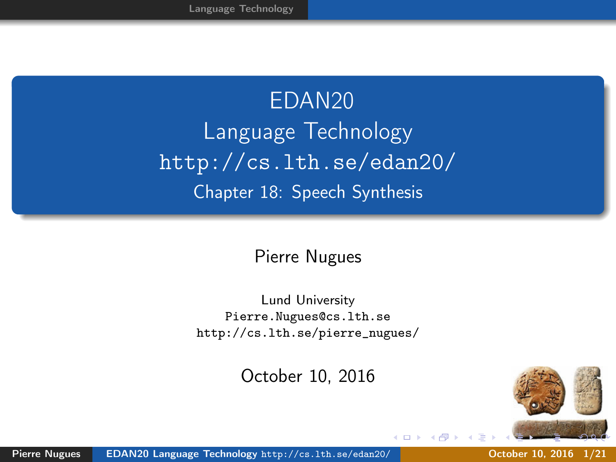<span id="page-0-0"></span>EDAN20 Language Technology <http://cs.lth.se/edan20/> Chapter 18: Speech Synthesis

#### Pierre Nugues

Lund University <Pierre.Nugues@cs.lth.se> [http://cs.lth.se/pierre\\_nugues/](http://cs.lth.se/pierre_nugues/)

October 10, 2016

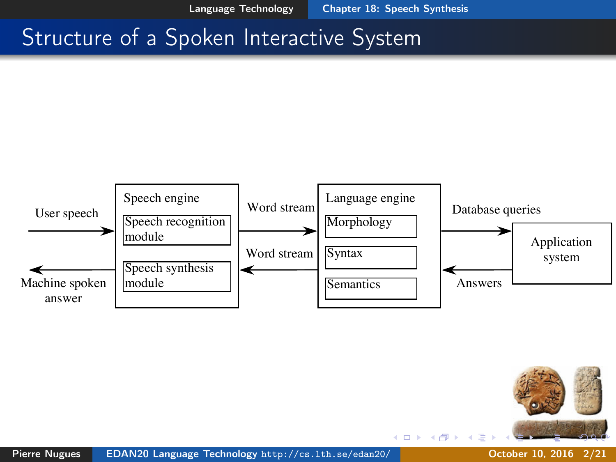4 17 18

#### <span id="page-1-0"></span>Structure of a Spoken Interactive System



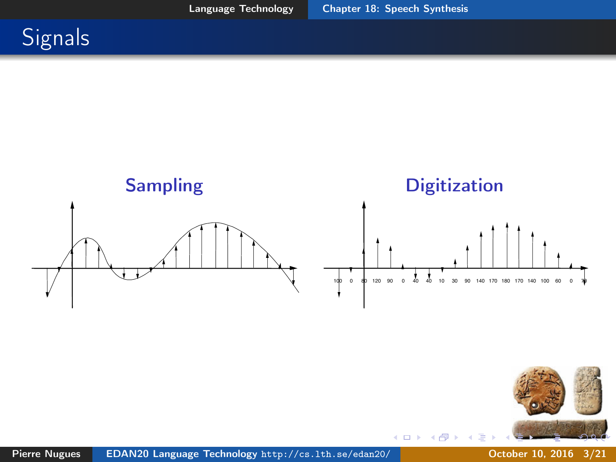





 $\leftarrow$   $\Box$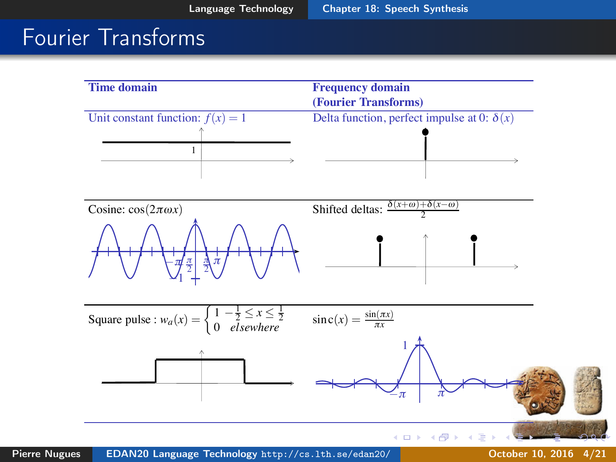# Fourier Transforms

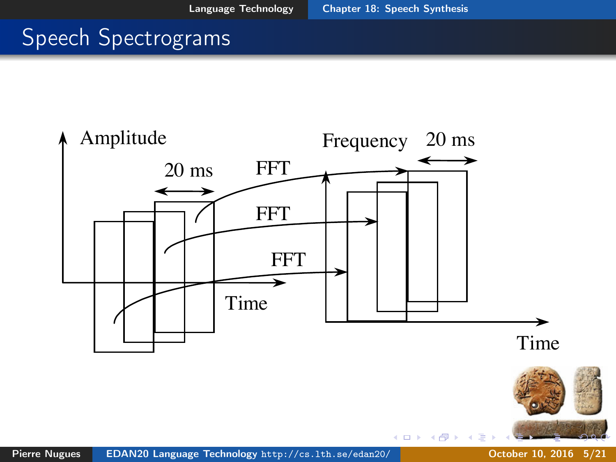# Speech Spectrograms

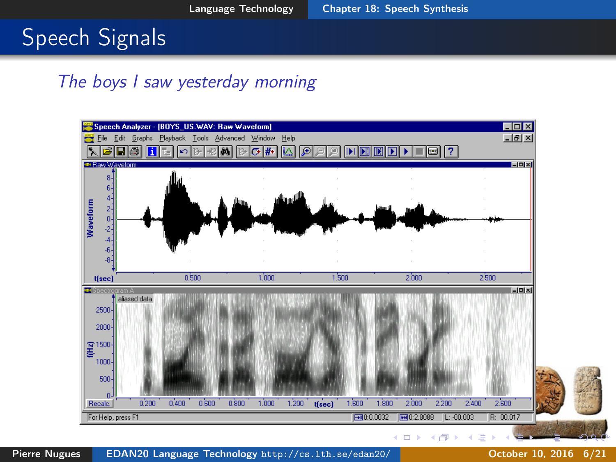# Speech Signals

#### The boys I saw yesterday morning

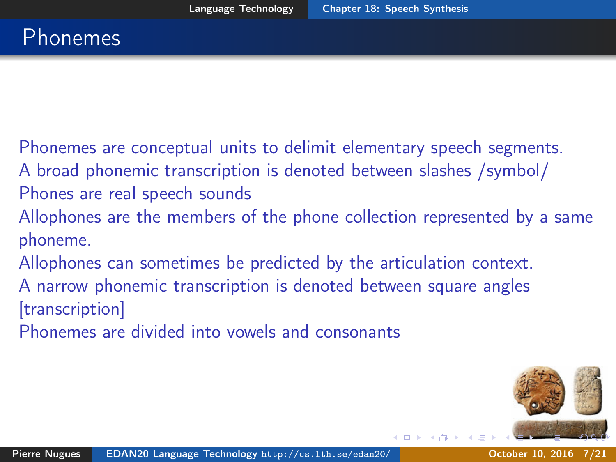Phonemes are conceptual units to delimit elementary speech segments.

- A broad phonemic transcription is denoted between slashes /symbol/ Phones are real speech sounds
- Allophones are the members of the phone collection represented by a same phoneme.
- Allophones can sometimes be predicted by the articulation context.
- A narrow phonemic transcription is denoted between square angles [transcription]
- Phonemes are divided into vowels and consonants

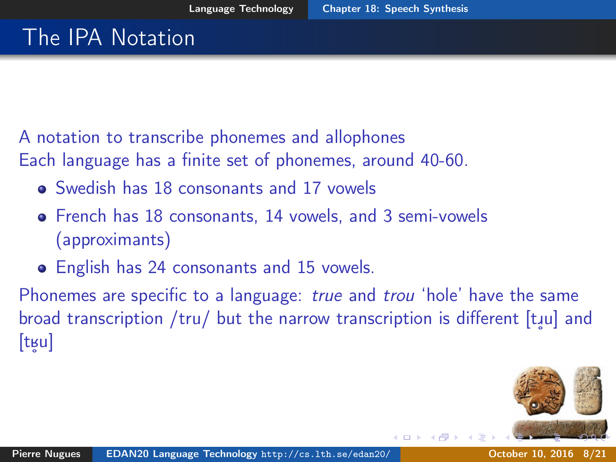# The IPA Notation

A notation to transcribe phonemes and allophones Each language has a finite set of phonemes, around 40-60.

- Swedish has 18 consonants and 17 vowels
- French has 18 consonants, 14 vowels, and 3 semi-vowels (approximants)
- English has 24 consonants and 15 vowels.

Phonemes are specific to a language: true and trou 'hole' have the same broad transcription /tru/ but the narrow transcription is different [tɹ̯u] and ˚  $[t$ gu] ˚

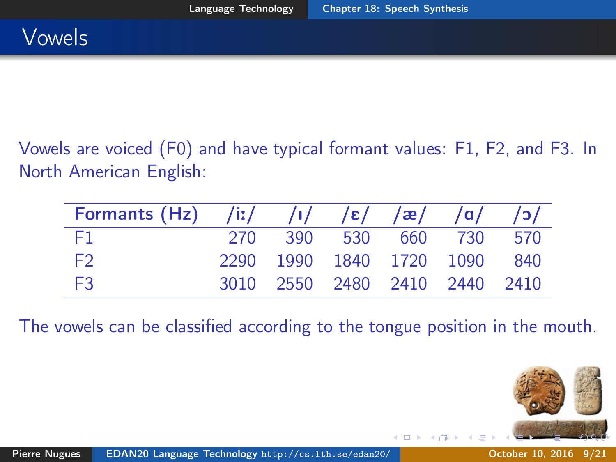Vowels are voiced (F0) and have typical formant values: F1, F2, and F3. In North American English:

| Formants (Hz) $/ii/$ $/ii/$ $/ε/$ $/æ/$ $/q/$ $/5/$ |  |                               |  |  |
|-----------------------------------------------------|--|-------------------------------|--|--|
| - F1                                                |  | 270 390 530 660 730 570       |  |  |
| - F2                                                |  | 2290 1990 1840 1720 1090 840  |  |  |
| <b>F3</b>                                           |  | 3010 2550 2480 2410 2440 2410 |  |  |

The vowels can be classified according to the tongue position in the mouth.

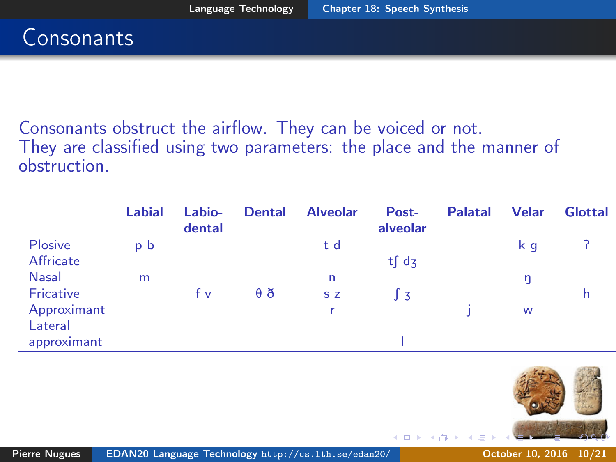Consonants obstruct the airflow. They can be voiced or not. They are classified using two parameters: the place and the manner of obstruction.

|                                       | <b>Labial</b> | Labio-<br>dental | <b>Dental</b> | <b>Alveolar</b> | Post-<br>alveolar             | <b>Palatal</b> | <b>Velar</b> | <b>Glottal</b> |
|---------------------------------------|---------------|------------------|---------------|-----------------|-------------------------------|----------------|--------------|----------------|
| Plosive<br>Affricate                  | p b           |                  |               | t d             | t <sub>s</sub> d <sub>3</sub> |                | k q          |                |
| <b>Nasal</b><br>Fricative             | m             | fv               | $\theta$ ð    | n<br>S Z        | $\sqrt{3}$                    |                | ŋ            | h              |
| Approximant<br>Lateral<br>approximant |               |                  |               |                 |                               |                | W            |                |

 $-10.1$ 

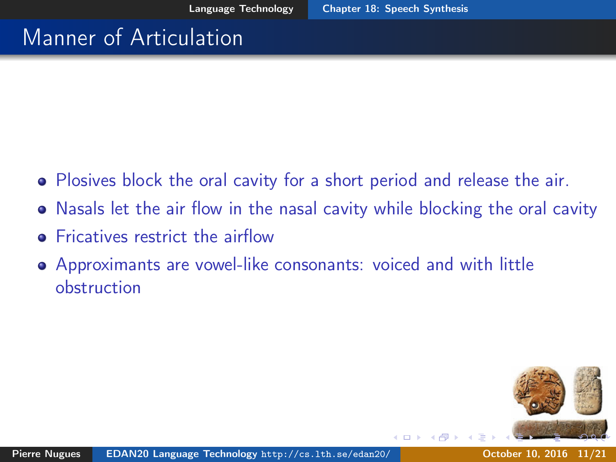# Manner of Articulation

- Plosives block the oral cavity for a short period and release the air.
- Nasals let the air flow in the nasal cavity while blocking the oral cavity
- **•** Fricatives restrict the airflow
- Approximants are vowel-like consonants: voiced and with little obstruction

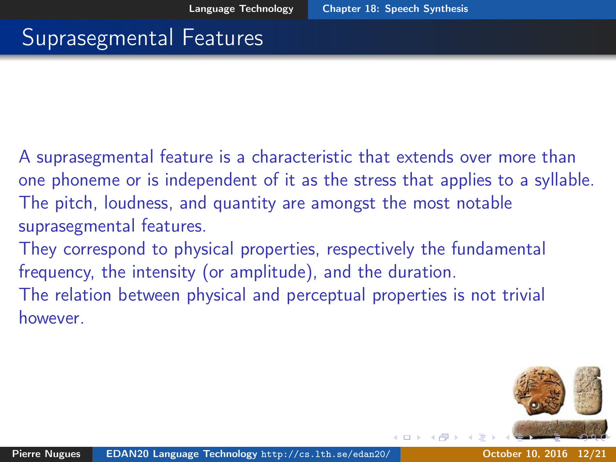#### Suprasegmental Features

A suprasegmental feature is a characteristic that extends over more than one phoneme or is independent of it as the stress that applies to a syllable. The pitch, loudness, and quantity are amongst the most notable suprasegmental features.

They correspond to physical properties, respectively the fundamental frequency, the intensity (or amplitude), and the duration.

The relation between physical and perceptual properties is not trivial however.

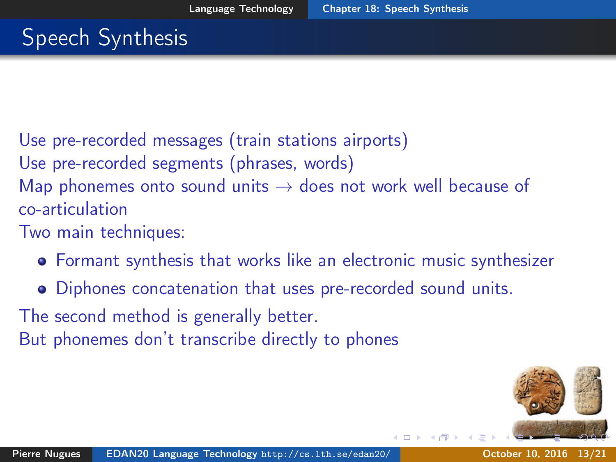# Speech Synthesis

Use pre-recorded messages (train stations airports)

Use pre-recorded segments (phrases, words)

Map phonemes onto sound units  $\rightarrow$  does not work well because of co-articulation

Two main techniques:

- Formant synthesis that works like an electronic music synthesizer
- Diphones concatenation that uses pre-recorded sound units.

The second method is generally better.

But phonemes don't transcribe directly to phones

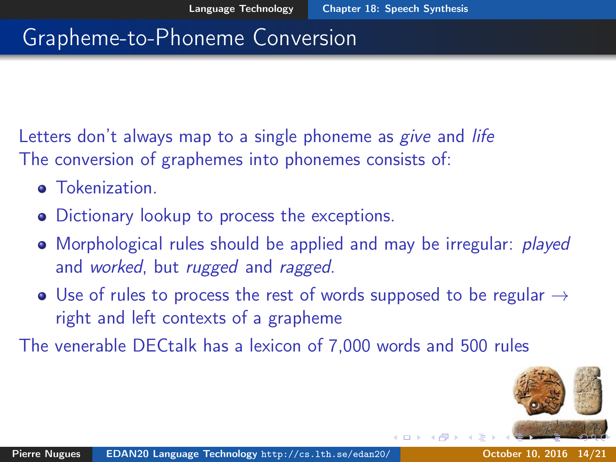## Grapheme-to-Phoneme Conversion

Letters don't always map to a single phoneme as give and life The conversion of graphemes into phonemes consists of:

- **o** Tokenization.
- Dictionary lookup to process the exceptions.
- Morphological rules should be applied and may be irregular: *played* and worked, but rugged and ragged.
- Use of rules to process the rest of words supposed to be regular  $\rightarrow$ right and left contexts of a grapheme

The venerable DECtalk has a lexicon of 7,000 words and 500 rules

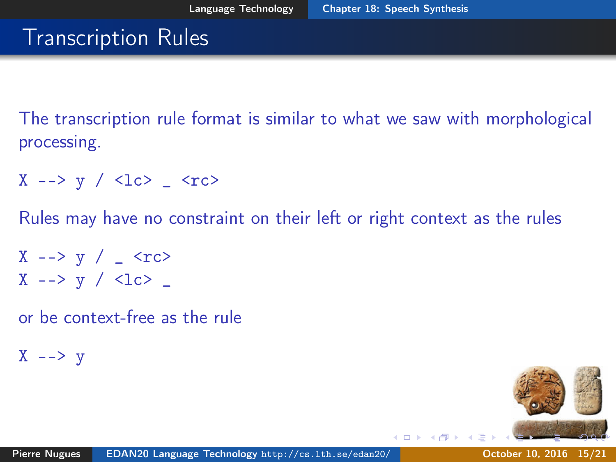## Transcription Rules

The transcription rule format is similar to what we saw with morphological processing.

 $X \rightarrow y / \langle lc \rangle$   $\langle rc \rangle$ 

Rules may have no constraint on their left or right context as the rules

$$
X \rightarrow y / \sqrt{cc}
$$
  

$$
X \rightarrow y / \sqrt{cc}
$$

or be context-free as the rule

 $X$  -->  $y$ 

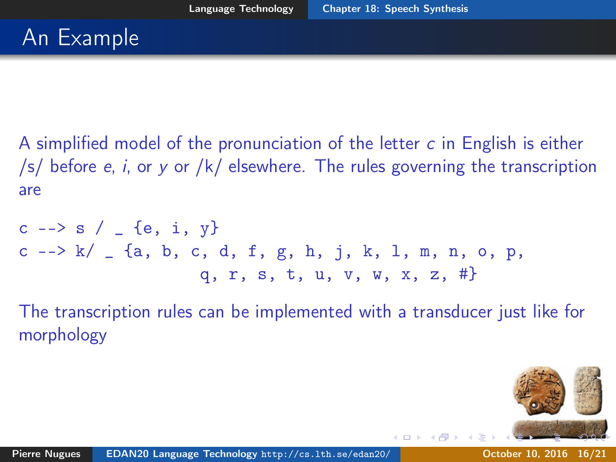#### An Example

A simplified model of the pronunciation of the letter c in English is either /s/ before  $e$ , *i*, or  $y$  or /k/ elsewhere. The rules governing the transcription are

c --> s / \_ {e, i, y} c --> k/ \_ {a, b, c, d, f, g, h, j, k, l, m, n, o, p, q, r, s, t, u, v, w, x, z, #}

The transcription rules can be implemented with a transducer just like for morphology

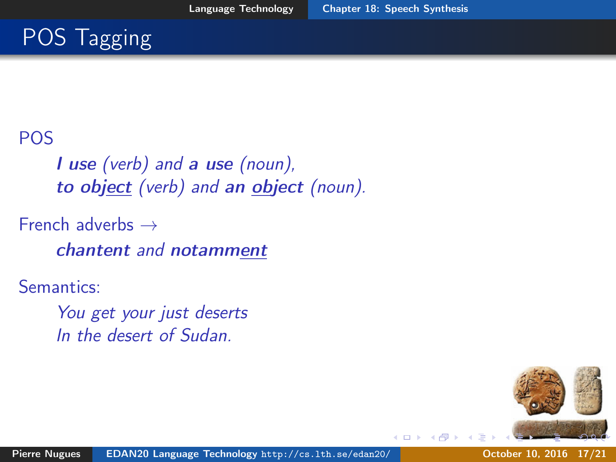# POS Tagging

#### POS

I use (verb) and a use (noun), to object (verb) and an object (noun).

French adverbs  $\rightarrow$ chantent and notamment

Semantics:

You get your just deserts In the desert of Sudan.



 $\leftarrow$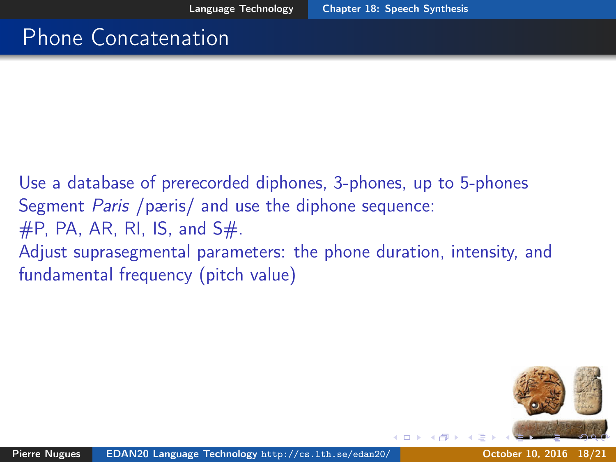#### Phone Concatenation

Use a database of prerecorded diphones, 3-phones, up to 5-phones Segment *Paris* / pæris/ and use the diphone sequence:  $#P$ , PA, AR, RI, IS, and S $#$ . Adjust suprasegmental parameters: the phone duration, intensity, and fundamental frequency (pitch value)

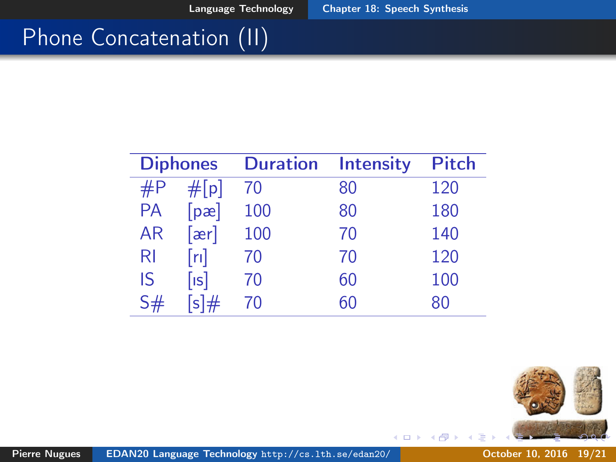$\leftarrow$   $\Box$ 

## Phone Concatenation (II)

J. J.

| <b>Diphones</b> |                      | <b>Duration</b> | <b>Intensity</b> | <b>Pitch</b> |  |
|-----------------|----------------------|-----------------|------------------|--------------|--|
| #P              | #[p]                 | 70              | 80               | 120          |  |
| <b>PA</b>       | [px]                 | 100             | 80               | 180          |  |
| <b>AR</b>       | $[\mathrm{ær}]$      | 100             | 70               | 140          |  |
| RI              | [rı]                 | 70              | 70               | 120          |  |
| IS              | $\lceil$ ıs $\rceil$ | 70              | 60               | 100          |  |
| S#              | $[s]$ #              | 70              | 60               | 80           |  |

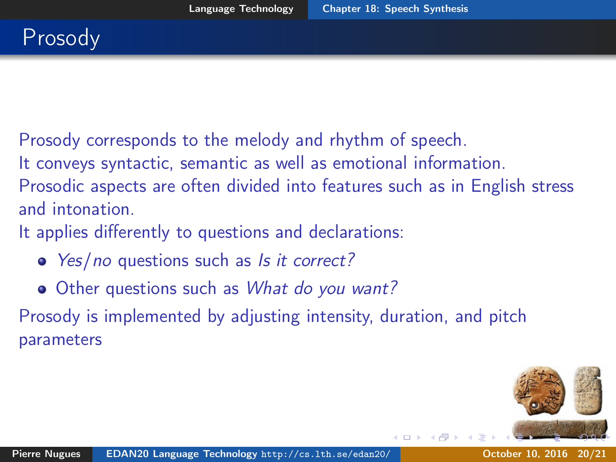<span id="page-19-0"></span>Prosody corresponds to the melody and rhythm of speech.

It conveys syntactic, semantic as well as emotional information.

Prosodic aspects are often divided into features such as in English stress and intonation.

It applies differently to questions and declarations:

- Yes/no questions such as Is it correct?
- Other questions such as *What do you want?*

Prosody is implemented by adjusting intensity, duration, and pitch parameters